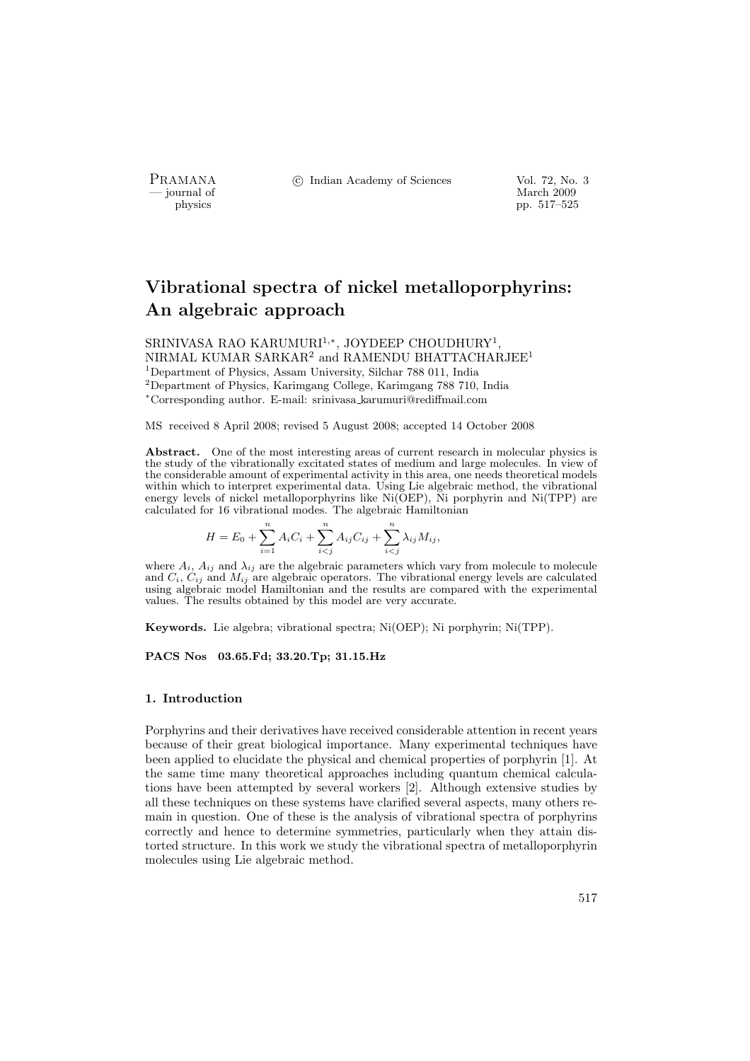- journal of<br>physics

PRAMANA <sup>C</sup> Indian Academy of Sciences Vol. 72, No. 3<br>
indian Academy of Sciences Vol. 72, No. 3

pp. 517–525

# Vibrational spectra of nickel metalloporphyrins: An algebraic approach

SRINIVASA RAO KARUMURI<sup>1,∗</sup>, JOYDEEP CHOUDHURY<sup>1</sup>, NIRMAL KUMAR SARKAR<sup>2</sup> and RAMENDU BHATTACHARJEE<sup>1</sup> <sup>1</sup>Department of Physics, Assam University, Silchar 788 011, India <sup>2</sup>Department of Physics, Karimgang College, Karimgang 788 710, India <sup>∗</sup>Corresponding author. E-mail: srinivasa karumuri@rediffmail.com

MS received 8 April 2008; revised 5 August 2008; accepted 14 October 2008

Abstract. One of the most interesting areas of current research in molecular physics is the study of the vibrationally excitated states of medium and large molecules. In view of the considerable amount of experimental activity in this area, one needs theoretical models within which to interpret experimental data. Using Lie algebraic method, the vibrational energy levels of nickel metalloporphyrins like Ni(OEP), Ni porphyrin and Ni(TPP) are calculated for 16 vibrational modes. The algebraic Hamiltonian

$$
H = E_0 + \sum_{i=1}^{n} A_i C_i + \sum_{i
$$

where  $A_i$ ,  $A_{ij}$  and  $\lambda_{ij}$  are the algebraic parameters which vary from molecule to molecule and  $C_i$ ,  $C_{ij}$  and  $M_{ij}$  are algebraic operators. The vibrational energy levels are calculated using algebraic model Hamiltonian and the results are compared with the experimental values. The results obtained by this model are very accurate.

Keywords. Lie algebra; vibrational spectra; Ni(OEP); Ni porphyrin; Ni(TPP).

### PACS Nos 03.65.Fd; 33.20.Tp; 31.15.Hz

#### 1. Introduction

Porphyrins and their derivatives have received considerable attention in recent years because of their great biological importance. Many experimental techniques have been applied to elucidate the physical and chemical properties of porphyrin [1]. At the same time many theoretical approaches including quantum chemical calculations have been attempted by several workers [2]. Although extensive studies by all these techniques on these systems have clarified several aspects, many others remain in question. One of these is the analysis of vibrational spectra of porphyrins correctly and hence to determine symmetries, particularly when they attain distorted structure. In this work we study the vibrational spectra of metalloporphyrin molecules using Lie algebraic method.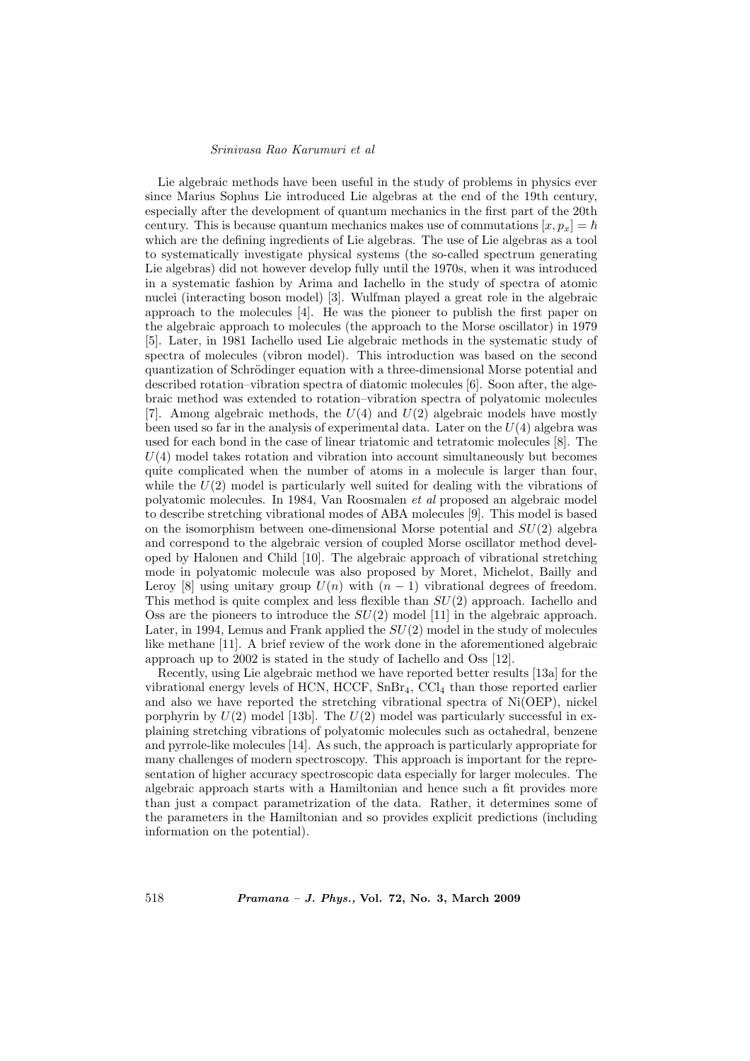Lie algebraic methods have been useful in the study of problems in physics ever since Marius Sophus Lie introduced Lie algebras at the end of the 19th century, especially after the development of quantum mechanics in the first part of the 20th century. This is because quantum mechanics makes use of commutations  $[x, p_x] = \hbar$ which are the defining ingredients of Lie algebras. The use of Lie algebras as a tool to systematically investigate physical systems (the so-called spectrum generating Lie algebras) did not however develop fully until the 1970s, when it was introduced in a systematic fashion by Arima and Iachello in the study of spectra of atomic nuclei (interacting boson model) [3]. Wulfman played a great role in the algebraic approach to the molecules [4]. He was the pioneer to publish the first paper on the algebraic approach to molecules (the approach to the Morse oscillator) in 1979 [5]. Later, in 1981 Iachello used Lie algebraic methods in the systematic study of spectra of molecules (vibron model). This introduction was based on the second quantization of Schrödinger equation with a three-dimensional Morse potential and described rotation–vibration spectra of diatomic molecules [6]. Soon after, the algebraic method was extended to rotation–vibration spectra of polyatomic molecules [7]. Among algebraic methods, the  $U(4)$  and  $U(2)$  algebraic models have mostly been used so far in the analysis of experimental data. Later on the  $U(4)$  algebra was used for each bond in the case of linear triatomic and tetratomic molecules [8]. The  $U(4)$  model takes rotation and vibration into account simultaneously but becomes quite complicated when the number of atoms in a molecule is larger than four, while the  $U(2)$  model is particularly well suited for dealing with the vibrations of polyatomic molecules. In 1984, Van Roosmalen et al proposed an algebraic model to describe stretching vibrational modes of ABA molecules [9]. This model is based on the isomorphism between one-dimensional Morse potential and  $SU(2)$  algebra and correspond to the algebraic version of coupled Morse oscillator method developed by Halonen and Child [10]. The algebraic approach of vibrational stretching mode in polyatomic molecule was also proposed by Moret, Michelot, Bailly and Leroy [8] using unitary group  $U(n)$  with  $(n - 1)$  vibrational degrees of freedom. This method is quite complex and less flexible than  $SU(2)$  approach. Iachello and Oss are the pioneers to introduce the  $SU(2)$  model [11] in the algebraic approach. Later, in 1994, Lemus and Frank applied the  $SU(2)$  model in the study of molecules like methane [11]. A brief review of the work done in the aforementioned algebraic approach up to 2002 is stated in the study of Iachello and Oss [12].

Recently, using Lie algebraic method we have reported better results [13a] for the vibrational energy levels of HCN,  $HCCF$ ,  $SnBr<sub>4</sub>$ ,  $CCl<sub>4</sub>$  than those reported earlier and also we have reported the stretching vibrational spectra of Ni(OEP), nickel porphyrin by  $U(2)$  model [13b]. The  $U(2)$  model was particularly successful in explaining stretching vibrations of polyatomic molecules such as octahedral, benzene and pyrrole-like molecules [14]. As such, the approach is particularly appropriate for many challenges of modern spectroscopy. This approach is important for the representation of higher accuracy spectroscopic data especially for larger molecules. The algebraic approach starts with a Hamiltonian and hence such a fit provides more than just a compact parametrization of the data. Rather, it determines some of the parameters in the Hamiltonian and so provides explicit predictions (including information on the potential).

518 Pramana – J. Phys., Vol. 72, No. 3, March 2009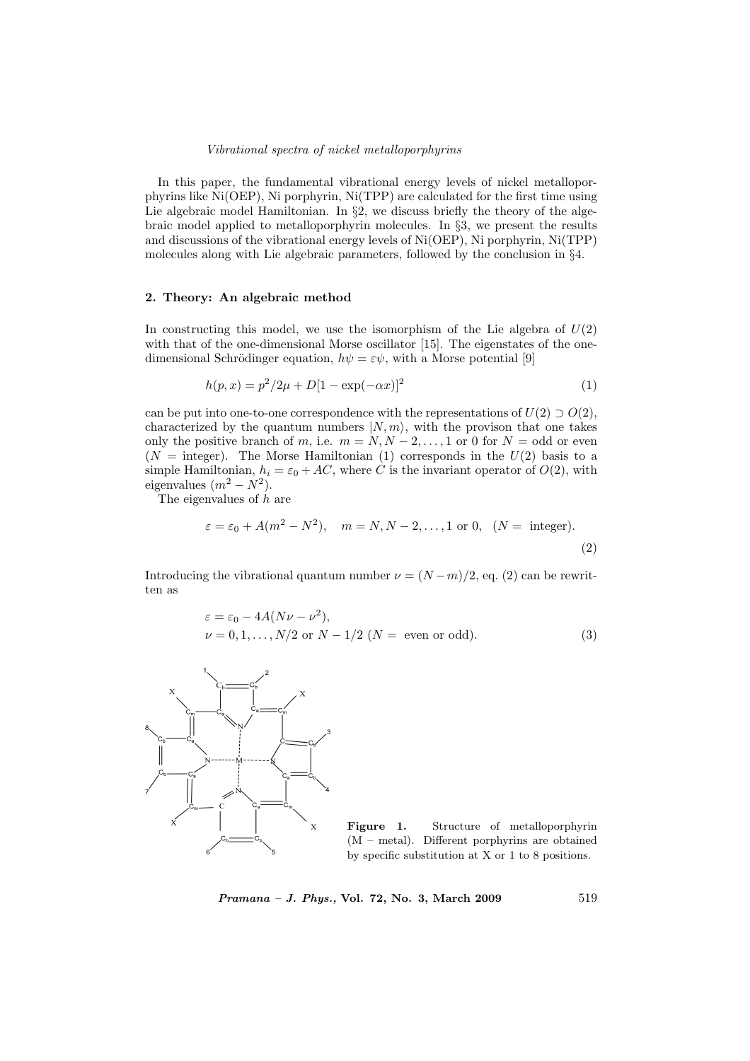### Vibrational spectra of nickel metalloporphyrins

In this paper, the fundamental vibrational energy levels of nickel metalloporphyrins like Ni(OEP), Ni porphyrin, Ni(TPP) are calculated for the first time using Lie algebraic model Hamiltonian. In  $\S2$ , we discuss briefly the theory of the algebraic model applied to metalloporphyrin molecules. In §3, we present the results and discussions of the vibrational energy levels of Ni(OEP), Ni porphyrin, Ni(TPP) molecules along with Lie algebraic parameters, followed by the conclusion in §4.

# 2. Theory: An algebraic method

In constructing this model, we use the isomorphism of the Lie algebra of  $U(2)$ with that of the one-dimensional Morse oscillator [15]. The eigenstates of the onedimensional Schrödinger equation,  $h\psi = \varepsilon\psi$ , with a Morse potential [9]

$$
h(p,x) = p^2/2\mu + D[1 - \exp(-\alpha x)]^2
$$
\n(1)

can be put into one-to-one correspondence with the representations of  $U(2) \supset O(2)$ , characterized by the quantum numbers  $|N, m\rangle$ , with the provison that one takes only the positive branch of m, i.e.  $m = N, N - 2, \ldots, 1$  or 0 for  $N =$  odd or even  $(N =$  integer). The Morse Hamiltonian (1) corresponds in the  $U(2)$  basis to a simple Hamiltonian,  $h_i = \varepsilon_0 + AC$ , where C is the invariant operator of  $O(2)$ , with eigenvalues  $(m^2 - N^2)$ .

The eigenvalues of  $h$  are

$$
\varepsilon = \varepsilon_0 + A(m^2 - N^2), \quad m = N, N - 2, \dots, 1 \text{ or } 0, \quad (N = \text{ integer}).
$$
\n(2)

Introducing the vibrational quantum number  $\nu = (N-m)/2$ , eq. (2) can be rewritten as

$$
\varepsilon = \varepsilon_0 - 4A(N\nu - \nu^2),
$$
  
\n
$$
\nu = 0, 1, \dots, N/2 \text{ or } N - 1/2 (N = \text{ even or odd}).
$$
 (3)



Figure 1. Structure of metalloporphyrin (M – metal). Different porphyrins are obtained by specific substitution at X or 1 to 8 positions.

Pramana – J. Phys., Vol. 72, No. 3, March 2009 519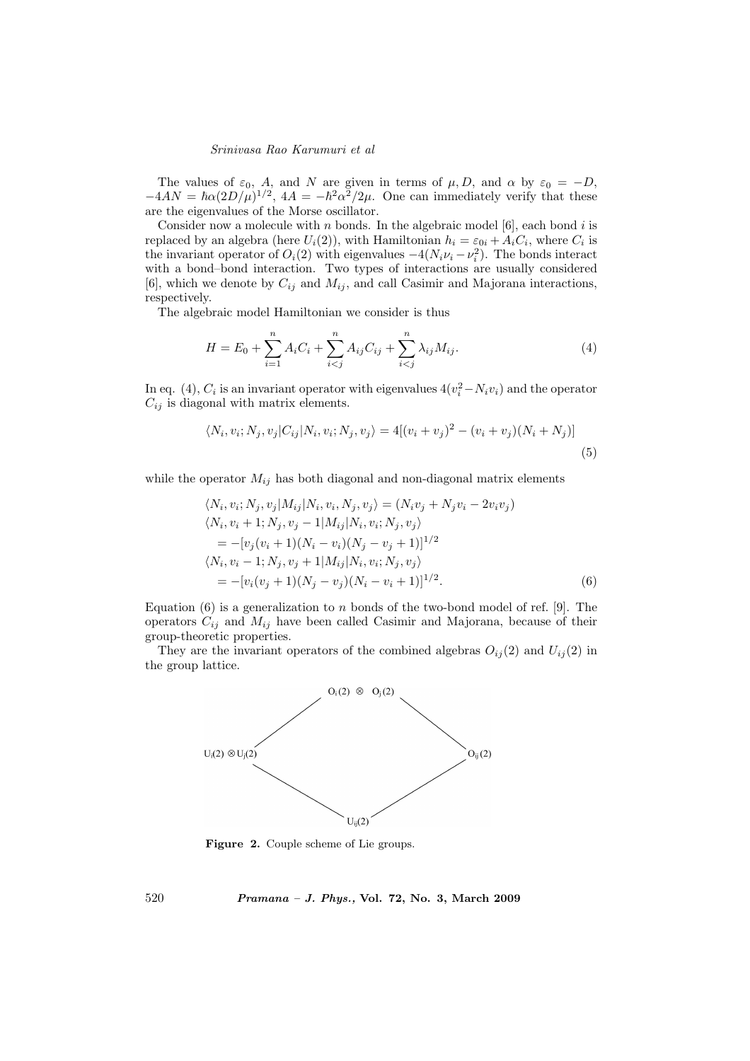The values of  $\varepsilon_0$ , A, and N are given in terms of  $\mu$ , D, and  $\alpha$  by  $\varepsilon_0 = -D$ ,  $-4AN = \hbar \alpha (2D/\mu)^{1/2}$ ,  $4A = -\hbar^2 \alpha^2/2\mu$ . One can immediately verify that these are the eigenvalues of the Morse oscillator.

Consider now a molecule with  $n$  bonds. In the algebraic model  $[6]$ , each bond  $i$  is replaced by an algebra (here  $U_i(2)$ ), with Hamiltonian  $h_i = \varepsilon_{0i} + A_i C_i$ , where  $C_i$  is the invariant operator of  $O_i(2)$  with eigenvalues  $-4(N_i\nu_i - \nu_i^2)$ . The bonds interact with a bond–bond interaction. Two types of interactions are usually considered [6], which we denote by  $C_{ij}$  and  $M_{ij}$ , and call Casimir and Majorana interactions, respectively.

The algebraic model Hamiltonian we consider is thus

$$
H = E_0 + \sum_{i=1}^{n} A_i C_i + \sum_{i (4)
$$

In eq. (4),  $C_i$  is an invariant operator with eigenvalues  $4(v_i^2 - N_i v_i)$  and the operator  $C_{ij}$  is diagonal with matrix elements.

$$
\langle N_i, v_i; N_j, v_j | C_{ij} | N_i, v_i; N_j, v_j \rangle = 4[(v_i + v_j)^2 - (v_i + v_j)(N_i + N_j)]
$$
\n(5)

while the operator  $M_{ij}$  has both diagonal and non-diagonal matrix elements

$$
\langle N_i, v_i; N_j, v_j | M_{ij} | N_i, v_i, N_j, v_j \rangle = (N_i v_j + N_j v_i - 2v_i v_j) \n\langle N_i, v_i + 1; N_j, v_j - 1 | M_{ij} | N_i, v_i; N_j, v_j \rangle \n= -[v_j(v_i + 1)(N_i - v_i)(N_j - v_j + 1)]^{1/2} \n\langle N_i, v_i - 1; N_j, v_j + 1 | M_{ij} | N_i, v_i; N_j, v_j \rangle \n= -[v_i(v_j + 1)(N_j - v_j)(N_i - v_i + 1)]^{1/2}.
$$
\n(6)

Equation  $(6)$  is a generalization to n bonds of the two-bond model of ref. [9]. The operators  $C_{ij}$  and  $M_{ij}$  have been called Casimir and Majorana, because of their group-theoretic properties.

They are the invariant operators of the combined algebras  $O_{ij}(2)$  and  $U_{ij}(2)$  in the group lattice.



Figure 2. Couple scheme of Lie groups.

520 Pramana – J. Phys., Vol. 72, No. 3, March 2009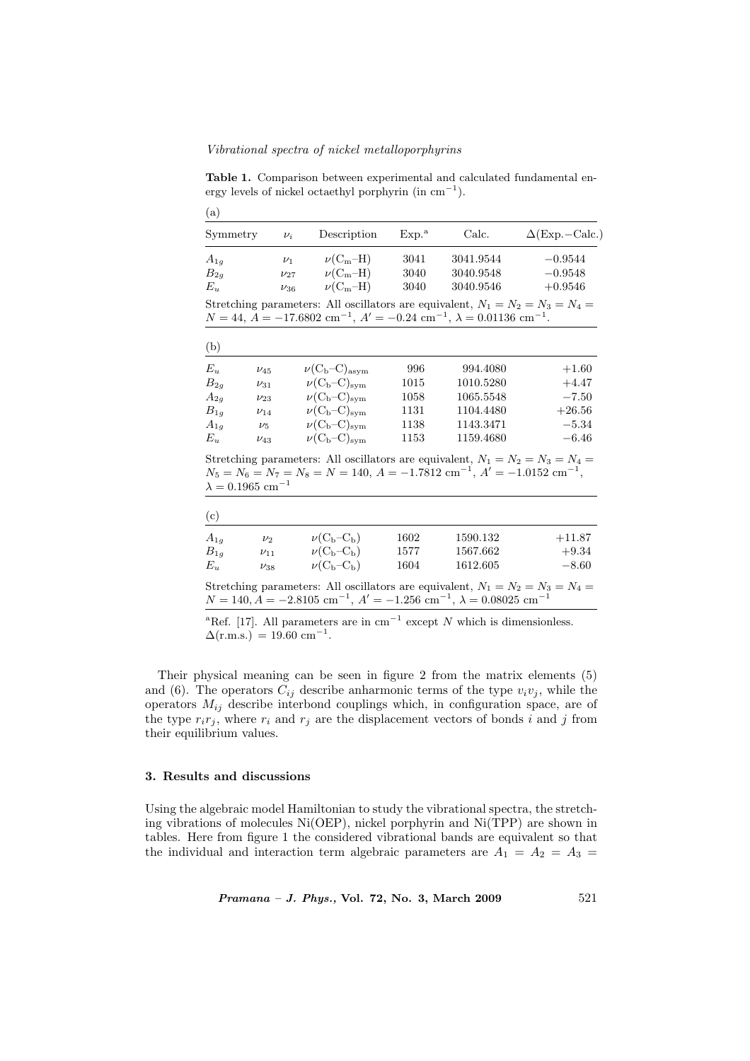Vibrational spectra of nickel metalloporphyrins

Table 1. Comparison between experimental and calculated fundamental energy levels of nickel octaethyl porphyrin (in  $cm^{-1}$ ).

| (a)                                 |            |                                                                                                                                                                                                         |                   |           |                         |
|-------------------------------------|------------|---------------------------------------------------------------------------------------------------------------------------------------------------------------------------------------------------------|-------------------|-----------|-------------------------|
| Symmetry                            | $\nu_i$    | Description                                                                                                                                                                                             | Exp. <sup>a</sup> | Calc.     | $\Delta$ (Exp. - Calc.) |
| $A_{1q}$                            | $\nu_1$    | $\nu$ (C <sub>m</sub> -H)                                                                                                                                                                               | 3041              | 3041.9544 | $-0.9544$               |
| $B_{2q}$                            | $\nu_{27}$ | $\nu(C_m-H)$                                                                                                                                                                                            | 3040              | 3040.9548 | $-0.9548$               |
| $E_u$                               | $\nu_{36}$ | $\nu(C_m-H)$                                                                                                                                                                                            | 3040              | 3040.9546 | $+0.9546$               |
| (b)                                 |            | Stretching parameters: All oscillators are equivalent, $N_1 = N_2 = N_3 = N_4 =$<br>$N = 44$ , $A = -17.6802$ cm <sup>-1</sup> , $A' = -0.24$ cm <sup>-1</sup> , $\lambda = 0.01136$ cm <sup>-1</sup> . |                   |           |                         |
| $E_u$                               | $\nu_{45}$ | $\nu(C_b-C)_{\rm asym}$                                                                                                                                                                                 | 996               | 994.4080  | $+1.60$                 |
| $B_{2g}$                            | $\nu_{31}$ | $\nu(C_b-C)_{\rm sym}$                                                                                                                                                                                  | 1015              | 1010.5280 | $+4.47$                 |
| $A_{2q}$<br>$\nu_{23}$              |            | $\nu(C_b-C)_{sym}$                                                                                                                                                                                      | 1058              | 1065.5548 | $-7.50$                 |
| $B_{1q}$<br>$\nu_{14}$              |            | $\nu(C_b-C)_{\rm sym}$                                                                                                                                                                                  | 1131              | 1104.4480 | $+26.56$                |
| $A_{1g}$                            | $\nu_5$    | $\nu(C_b-C)_{\rm sym}$                                                                                                                                                                                  | 1138              | 1143.3471 | $-5.34$                 |
| $E_u$                               | $\nu_{43}$ | $\nu(C_b-C)_{\rm sym}$                                                                                                                                                                                  | 1153              | 1159.4680 | $-6.46$                 |
| $\lambda = 0.1965$ cm <sup>-1</sup> |            | Stretching parameters: All oscillators are equivalent, $N_1 = N_2 = N_3 = N_4 =$<br>$N_5 = N_6 = N_7 = N_8 = N = 140, A = -1.7812 \text{ cm}^{-1}, A' = -1.0152 \text{ cm}^{-1},$                       |                   |           |                         |
| (c)                                 |            |                                                                                                                                                                                                         |                   |           |                         |
| $A_{1a}$                            | $\nu_2$    | $\nu(C_b-C_b)$                                                                                                                                                                                          | 1602              | 1590.132  | $+11.87$                |
| $B_{1q}$                            | $\nu_{11}$ | $\nu(C_b-C_b)$                                                                                                                                                                                          | 1577              | 1567.662  | $+9.34$                 |

Stretching parameters: All oscillators are equivalent,  $N_1 = N_2 = N_3 = N_4 =$  $N = 140, A = -2.8105$  cm<sup>-1</sup>,  $A' = -1.256$  cm<sup>-1</sup>,  $\lambda = 0.08025$  cm<sup>-1</sup>

 $E_u$   $\nu_{38}$   $\nu$ (C<sub>b</sub>–C<sub>b</sub>) 1604 1612.605 –8.60

<sup>a</sup>Ref. [17]. All parameters are in cm<sup>-1</sup> except N which is dimensionless.  $\Delta$ (r.m.s.) = 19.60 cm<sup>-1</sup>.

Their physical meaning can be seen in figure 2 from the matrix elements (5) and (6). The operators  $C_{ij}$  describe anharmonic terms of the type  $v_i v_j$ , while the operators  $M_{ij}$  describe interbond couplings which, in configuration space, are of the type  $r_i r_j$ , where  $r_i$  and  $r_j$  are the displacement vectors of bonds i and j from their equilibrium values.

## 3. Results and discussions

Using the algebraic model Hamiltonian to study the vibrational spectra, the stretching vibrations of molecules Ni(OEP), nickel porphyrin and Ni(TPP) are shown in tables. Here from figure 1 the considered vibrational bands are equivalent so that the individual and interaction term algebraic parameters are  $A_1 = A_2 = A_3$ 

*Pramana – J. Phys.*, Vol. 72, No. 3, March 2009 521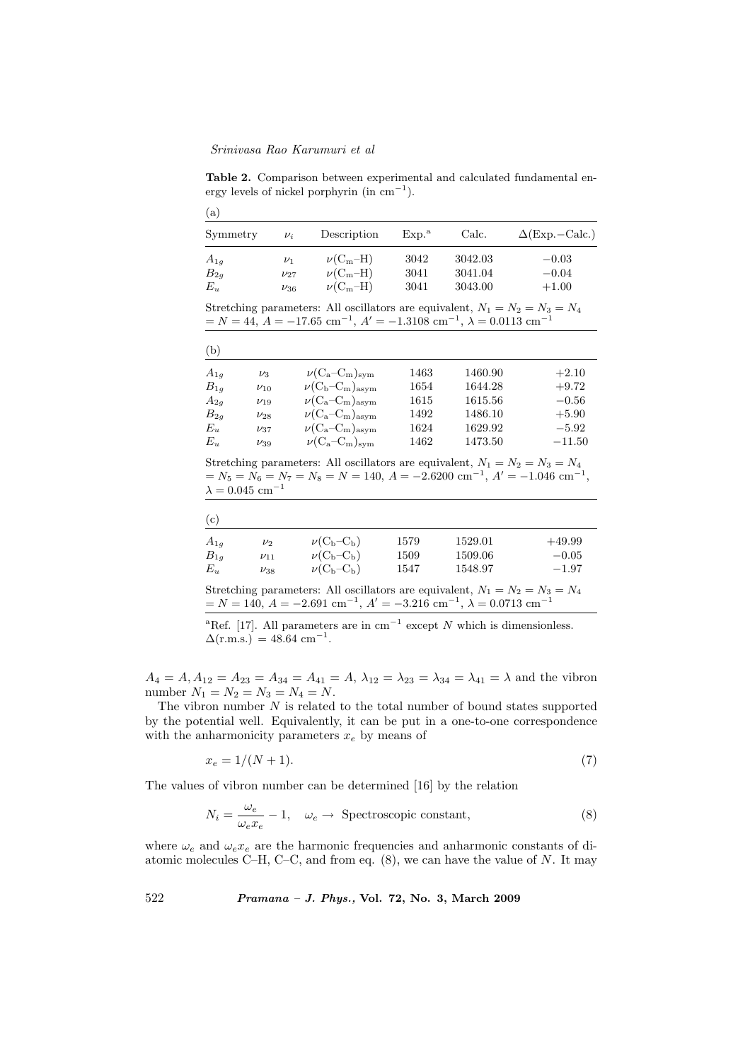$\langle e \rangle$ 

Table 2. Comparison between experimental and calculated fundamental energy levels of nickel porphyrin (in  $cm^{-1}$ ).

| (a)      |            |              |                   |         |                         |  |
|----------|------------|--------------|-------------------|---------|-------------------------|--|
| Symmetry | $\nu_i$    | Description  | Exp. <sup>a</sup> | Calc.   | $\Delta$ (Exp. - Calc.) |  |
| $A_{1g}$ | $\nu_1$    | $\nu(C_m-H)$ | 3042              | 3042.03 | $-0.03$                 |  |
| $B_{2g}$ | $\nu_{27}$ | $\nu(C_m-H)$ | 3041              | 3041.04 | $-0.04$                 |  |
| $E_u$    | $\nu_{36}$ | $\nu(C_m-H)$ | 3041              | 3043.00 | $+1.00$                 |  |

Stretching parameters: All oscillators are equivalent,  $N_1 = N_2 = N_3 = N_4$  $N = 44, A = -17.65$  cm<sup>-1</sup>,  $A' = -1.3108$  cm<sup>-1</sup>,  $\lambda = 0.0113$  cm<sup>-1</sup>

| (b)      |            |                           |      |         |          |
|----------|------------|---------------------------|------|---------|----------|
| $A_{1q}$ | $\nu_3$    | $\nu(C_a-C_m)_{sym}$      | 1463 | 1460.90 | $+2.10$  |
| $B_{1q}$ | $\nu_{10}$ | $\nu(C_b-C_m)_{\rm asym}$ | 1654 | 1644.28 | $+9.72$  |
| $A_{2g}$ | $\nu_{19}$ | $\nu(C_a-C_m)_{\rm asym}$ | 1615 | 1615.56 | $-0.56$  |
| $B_{2q}$ | $\nu_{28}$ | $\nu(C_a-C_m)_{\rm asym}$ | 1492 | 1486.10 | $+5.90$  |
| $E_u$    | $\nu_{37}$ | $\nu(C_a-C_m)_{\rm asym}$ | 1624 | 1629.92 | $-5.92$  |
| $E_u$    | $\nu_{39}$ | $\nu(C_a-C_m)_{sym}$      | 1462 | 1473.50 | $-11.50$ |

Stretching parameters: All oscillators are equivalent,  $N_1 = N_2 = N_3 = N_4$  $= N_5 = N_6 = N_7 = N_8 = N = 140, A = -2.6200$  cm<sup>-1</sup>,  $A' = -1.046$  cm<sup>-1</sup>,  $\lambda=0.045~\mathrm{cm}^{-1}$ 

| 1529.01<br>1579 | $+49.99$ |
|-----------------|----------|
| 1509.06<br>1509 | $-0.05$  |
| 1548.97<br>1547 | $-1.97$  |
|                 |          |

Stretching parameters: All oscillators are equivalent,  $N_1 = N_2 = N_3 = N_4$  $N = 140, A = -2.691$  cm<sup>-1</sup>,  $A' = -3.216$  cm<sup>-1</sup>,  $\lambda = 0.0713$  cm<sup>-1</sup>

<sup>a</sup>Ref. [17]. All parameters are in cm<sup>-1</sup> except N which is dimensionless.  $\Delta$ (r.m.s.) = 48.64 cm<sup>-1</sup>.

 $A_4 = A$ ,  $A_{12} = A_{23} = A_{34} = A_{41} = A$ ,  $\lambda_{12} = \lambda_{23} = \lambda_{34} = \lambda_{41} = \lambda$  and the vibron number  $N_1 = N_2 = N_3 = N_4 = N$ .

The vibron number  $N$  is related to the total number of bound states supported by the potential well. Equivalently, it can be put in a one-to-one correspondence with the anharmonicity parameters  $x_e$  by means of

$$
x_e = 1/(N+1). \tag{7}
$$

The values of vibron number can be determined [16] by the relation

$$
N_i = \frac{\omega_e}{\omega_e x_e} - 1, \quad \omega_e \to \text{Spectroscopic constant}, \tag{8}
$$

where  $\omega_e$  and  $\omega_e x_e$  are the harmonic frequencies and anharmonic constants of diatomic molecules C–H, C–C, and from eq.  $(8)$ , we can have the value of N. It may

522 Pramana – J. Phys., Vol. 72, No. 3, March 2009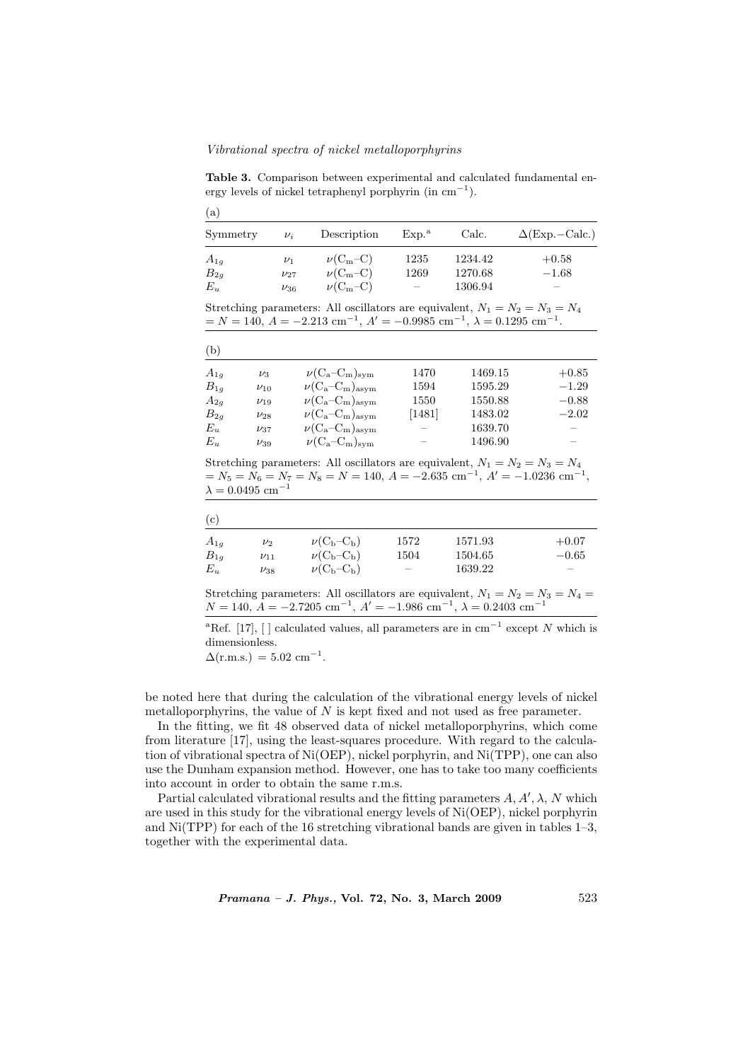Vibrational spectra of nickel metalloporphyrins

Table 3. Comparison between experimental and calculated fundamental energy levels of nickel tetraphenyl porphyrin (in  $cm^{-1}$ ).

| (a)      |            |              |                          |         |                         |  |
|----------|------------|--------------|--------------------------|---------|-------------------------|--|
| Symmetry | $\nu_i$    | Description  | Exp <sup>a</sup>         | Calc.   | $\Delta$ (Exp. - Calc.) |  |
| $A_{1g}$ | $\nu_1$    | $\nu(C_m-C)$ | 1235                     | 1234.42 | $+0.58$                 |  |
| $B_{2g}$ | $\nu_{27}$ | $\nu(C_m-C)$ | 1269                     | 1270.68 | $-1.68$                 |  |
| $E_u$    | $\nu_{36}$ | $\nu(C_m-C)$ | $\overline{\phantom{a}}$ | 1306.94 |                         |  |

Stretching parameters: All oscillators are equivalent,  $N_1 = N_2 = N_3 = N_4$  $N = 140, A = -2.213$  cm<sup>-1</sup>,  $A' = -0.9985$  cm<sup>-1</sup>,  $\lambda = 0.1295$  cm<sup>-1</sup>.

| (b)      |            |                           |          |         |         |
|----------|------------|---------------------------|----------|---------|---------|
| $A_{1q}$ | $\nu_3$    | $\nu(C_a-C_m)_{sym}$      | 1470     | 1469.15 | $+0.85$ |
| $B_{1g}$ | $\nu_{10}$ | $\nu(C_a-C_m)_{\rm asym}$ | 1594     | 1595.29 | $-1.29$ |
| $A_{2g}$ | $\nu_{19}$ | $\nu(C_a-C_m)_{\rm asym}$ | 1550     | 1550.88 | $-0.88$ |
| $B_{2g}$ | $\nu_{28}$ | $\nu(C_a-C_m)_{\rm asym}$ | $[1481]$ | 1483.02 | $-2.02$ |
| $E_u$    | $\nu_{37}$ | $\nu(C_a-C_m)_{\rm asym}$ |          | 1639.70 |         |
| $E_u$    | $\nu_{39}$ | $\nu(C_a-C_m)_{\rm sym}$  |          | 1496.90 |         |

Stretching parameters: All oscillators are equivalent,  $N_1 = N_2 = N_3 = N_4$  $= N_5 = N_6 = N_7 = N_8 = N = 140, A = -2.635$  cm<sup>-1</sup>,  $A' = -1.0236$  cm<sup>-1</sup>,  $\lambda = 0.0495$  cm<sup>-1</sup>

| (c)      |            |                |                          |         |                          |
|----------|------------|----------------|--------------------------|---------|--------------------------|
| $A_{1q}$ | $\nu_2$    | $\nu(C_b-C_b)$ | 1572                     | 1571.93 | $+0.07$                  |
| $B_{1g}$ | $\nu_{11}$ | $\nu(C_b-C_b)$ | 1504                     | 1504.65 | $-0.65$                  |
| $E_u$    | $\nu_{38}$ | $\nu(C_b-C_b)$ | $\overline{\phantom{0}}$ | 1639.22 | $\overline{\phantom{m}}$ |

Stretching parameters: All oscillators are equivalent,  $N_1 = N_2 = N_3 = N_4 =$  $N = 140, A = -2.7205$  cm<sup>-1</sup>,  $A' = -1.986$  cm<sup>-1</sup>,  $\lambda = 0.2403$  cm<sup>-1</sup>

<sup>a</sup>Ref. [17], [ ] calculated values, all parameters are in cm<sup>-1</sup> except N which is dimensionless.

 $\Delta$ (r.m.s.) = 5.02 cm<sup>-1</sup>.

be noted here that during the calculation of the vibrational energy levels of nickel metalloporphyrins, the value of  $N$  is kept fixed and not used as free parameter.

In the fitting, we fit 48 observed data of nickel metalloporphyrins, which come from literature [17], using the least-squares procedure. With regard to the calculation of vibrational spectra of Ni(OEP), nickel porphyrin, and Ni(TPP), one can also use the Dunham expansion method. However, one has to take too many coefficients into account in order to obtain the same r.m.s.

Partial calculated vibrational results and the fitting parameters  $A, A', \lambda, N$  which are used in this study for the vibrational energy levels of Ni(OEP), nickel porphyrin and Ni(TPP) for each of the 16 stretching vibrational bands are given in tables 1–3, together with the experimental data.

 $Pramana - J. Phys., Vol. 72, No. 3, March 2009$  523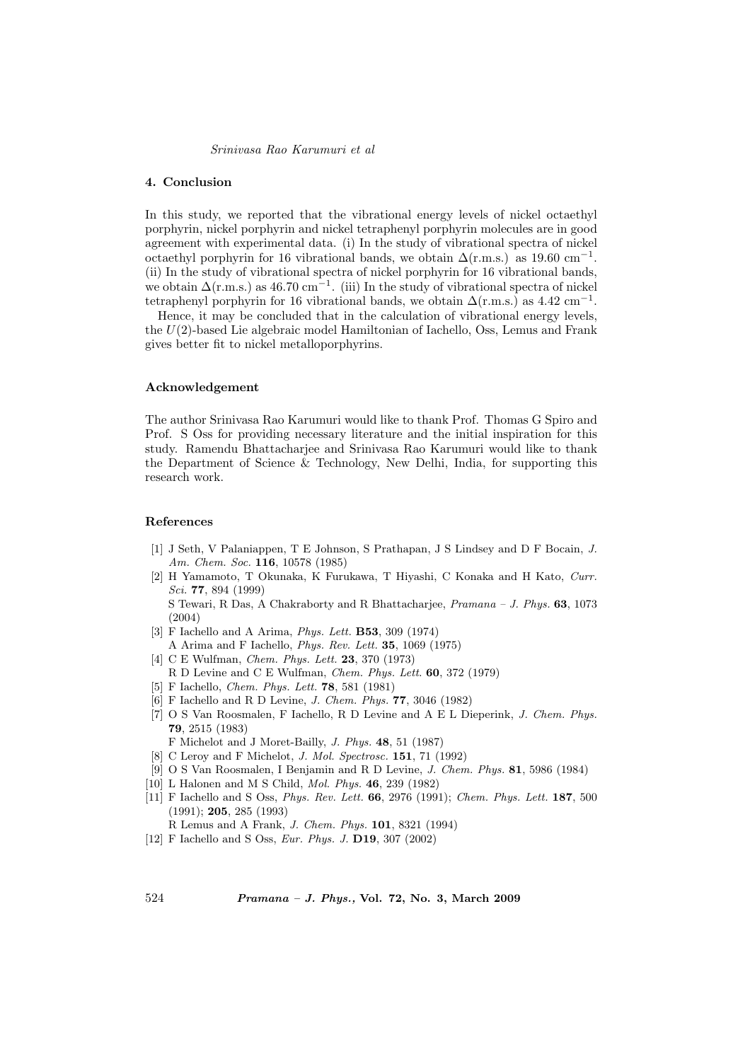# 4. Conclusion

In this study, we reported that the vibrational energy levels of nickel octaethyl porphyrin, nickel porphyrin and nickel tetraphenyl porphyrin molecules are in good agreement with experimental data. (i) In the study of vibrational spectra of nickel octaethyl porphyrin for 16 vibrational bands, we obtain  $\Delta(r.m.s.)$  as 19.60 cm<sup>-1</sup>. (ii) In the study of vibrational spectra of nickel porphyrin for 16 vibrational bands, we obtain  $\Delta(r.m.s.)$  as 46.70 cm<sup>-1</sup>. (iii) In the study of vibrational spectra of nickel tetraphenyl porphyrin for 16 vibrational bands, we obtain  $\Delta(r.m.s.)$  as 4.42 cm<sup>-1</sup>.

Hence, it may be concluded that in the calculation of vibrational energy levels, the U(2)-based Lie algebraic model Hamiltonian of Iachello, Oss, Lemus and Frank gives better fit to nickel metalloporphyrins.

#### Acknowledgement

The author Srinivasa Rao Karumuri would like to thank Prof. Thomas G Spiro and Prof. S Oss for providing necessary literature and the initial inspiration for this study. Ramendu Bhattacharjee and Srinivasa Rao Karumuri would like to thank the Department of Science & Technology, New Delhi, India, for supporting this research work.

#### References

- [1] J Seth, V Palaniappen, T E Johnson, S Prathapan, J S Lindsey and D F Bocain, J. Am. Chem. Soc. 116, 10578 (1985)
- [2] H Yamamoto, T Okunaka, K Furukawa, T Hiyashi, C Konaka and H Kato, Curr. Sci. 77, 894 (1999) S Tewari, R Das, A Chakraborty and R Bhattacharjee, Pramana – J. Phys. 63, 1073 (2004)
- [3] F Iachello and A Arima, Phys. Lett. B53, 309 (1974)
- A Arima and F Iachello, Phys. Rev. Lett. 35, 1069 (1975)
- [4] C E Wulfman, Chem. Phys. Lett. 23, 370 (1973)
- R D Levine and C E Wulfman, Chem. Phys. Lett. 60, 372 (1979)
- [5] F Iachello, *Chem. Phys. Lett.* **78**, 581 (1981)
- [6] F Iachello and R D Levine, J. Chem. Phys. 77, 3046 (1982)
- [7] O S Van Roosmalen, F Iachello, R D Levine and A E L Dieperink, J. Chem. Phys. 79, 2515 (1983)
- F Michelot and J Moret-Bailly, J. Phys. 48, 51 (1987)
- [8] C Leroy and F Michelot, J. Mol. Spectrosc. 151, 71 (1992)
- [9] O S Van Roosmalen, I Benjamin and R D Levine, J. Chem. Phys. 81, 5986 (1984)
- [10] L Halonen and M S Child, Mol. Phys. 46, 239 (1982)
- [11] F Iachello and S Oss, Phys. Rev. Lett. 66, 2976 (1991); Chem. Phys. Lett. 187, 500 (1991); 205, 285 (1993)
	- R Lemus and A Frank, J. Chem. Phys. 101, 8321 (1994)
- [12] F Iachello and S Oss, *Eur. Phys. J.* **D19**, 307 (2002)